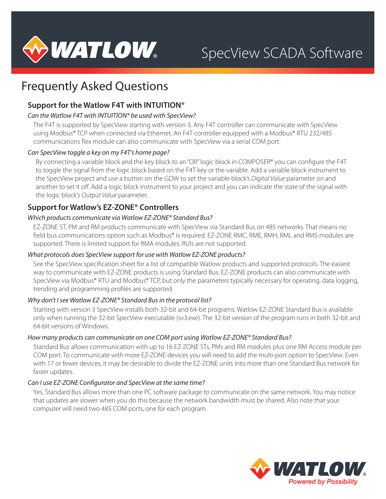

# Frequently Asked Questions

# **Support for the Watlow F4T with INTUITION®**

# *Can the Watlow F4T with INTUITION® be used with SpecView?*

The F4T is supported by SpecView starting with version 3. Any F4T controller can communicate with SpecView using Modbus® TCP when connected via Ethernet. An F4T controller equipped with a Modbus® RTU 232/485 communications flex module can also communicate with SpecView via a serial COM port.

# *Can SpecView toggle a key on my F4T's home page?*

By connecting a variable block and the key block to an "OR" logic block in COMPOSER® you can configure the F4T to toggle the signal from the logic block based on the F4T key or the variable. Add a variable block instrument to the SpecView project and use a button on the GDW to set the variable block's *Digital Value* parameter *on* and another to set it *off*. Add a logic block instrument to your project and you can indicate the state of the signal with the logic block's *Output Value* parameter.

# **Support for Watlow's EZ-ZONE® Controllers**

# *Which products communicate via Watlow EZ-ZONE® Standard Bus?*

EZ-ZONE ST, PM and RM products communicate with SpecView via Standard Bus on 485 networks. That means no field bus communications option such as Modbus® is required. EZ-ZONE RMC, RME, RMH, RML and RMS modules are supported. There is limited support for RMA modules. RUIs are not supported.

# *What protocols does SpecView support for use with Watlow EZ-ZONE products?*

See the SpecView specification sheet for a list of compatible Watlow products and supported protocols. The easiest way to communicate with EZ-ZONE products is using Standard Bus. EZ-ZONE products can also communicate with SpecView via Modbus® RTU and Modbus® TCP, but only the parameters typically necessary for operating, data logging, trending and programming profiles are supported.

# *Why don't I see Watlow EZ-ZONE® Standard Bus in the protocol list?*

Starting with version 3 SpecView installs both 32-bit and 64-bit programs. Watlow EZ-ZONE Standard Bus is available only when running the 32-bit SpecView executable (sv3.exe). The 32-bit version of the program runs in both 32-bit and 64-bit versions of Windows.

# *How many products can communicate on one COM port using Watlow EZ-ZONE® Standard Bus?*

Standard Bus allows communication with up to 16 EZ-ZONE STs, PMs and RM modules plus one RM Access module per COM port. To communicate with more EZ-ZONE devices you will need to add the multi-port option to SpecView. Even with 17 or fewer devices, it may be desirable to divide the EZ-ZONE units into more than one Standard Bus network for faster updates.

# *Can I use EZ-ZONE Configurator and SpecView at the same time?*

Yes, Standard Bus allows more than one PC software package to communicate on the same network. You may notice that updates are slower when you do this because the network bandwidth must be shared. Also note that your computer will need two 485 COM ports, one for each program.

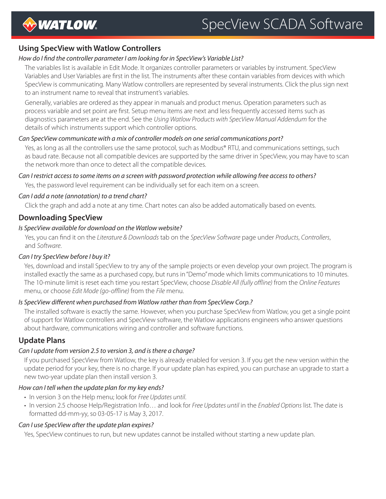

# **Using SpecView with Watlow Controllers**

# *How do I find the controller parameter I am looking for in SpecView's Variable List?*

The variables list is available in Edit Mode. It organizes controller parameters or variables by instrument. SpecView Variables and User Variables are first in the list. The instruments after these contain variables from devices with which SpecView is communicating. Many Watlow controllers are represented by several instruments. Click the plus sign next to an instrument name to reveal that instrument's variables.

Generally, variables are ordered as they appear in manuals and product menus. Operation parameters such as process variable and set point are first. Setup menu items are next and less frequently accessed items such as diagnostics parameters are at the end. See the *Using Watlow Products with SpecView Manual Addendum* for the details of which instruments support which controller options.

# *Can SpecView communicate with a mix of controller models on one serial communications port?*

Yes, as long as all the controllers use the same protocol, such as Modbus® RTU, and communications settings, such as baud rate. Because not all compatible devices are supported by the same driver in SpecView, you may have to scan the network more than once to detect all the compatible devices.

# *Can I restrict access to some items on a screen with password protection while allowing free access to others?*

Yes, the password level requirement can be individually set for each item on a screen.

### *Can I add a note (annotation) to a trend chart?*

Click the graph and add a note at any time. Chart notes can also be added automatically based on events.

# **Downloading SpecView**

# *Is SpecView available for download on the Watlow website?*

Yes, you can find it on the *Literature & Downloads* tab on the *SpecView Software* page under *Products*, *Controllers*, and *Software*.

# *Can I try SpecView before I buy it?*

Yes, download and install SpecView to try any of the sample projects or even develop your own project. The program is installed exactly the same as a purchased copy, but runs in "Demo" mode which limits communications to 10 minutes. The 10-minute limit is reset each time you restart SpecView, choose *Disable All (fully offline)* from the *Online Features* menu, or choose *Edit Mode (go-offline)* from the *File* menu.

# *Is SpecView different when purchased from Watlow rather than from SpecView Corp.?*

The installed software is exactly the same. However, when you purchase SpecView from Watlow, you get a single point of support for Watlow controllers and SpecView software, the Watlow applications engineers who answer questions about hardware, communications wiring and controller and software functions.

# **Update Plans**

# *Can I update from version 2.5 to version 3, and is there a charge?*

If you purchased SpecView from Watlow, the key is already enabled for version 3. If you get the new version within the update period for your key, there is no charge. If your update plan has expired, you can purchase an upgrade to start a new two-year update plan then install version 3.

# *How can I tell when the update plan for my key ends?*

- In version 3 on the Help menu; look for *Free Updates until*.
- In version 2.5 choose Help/Registration Info… and look for *Free Updates until* in the *Enabled Options* list. The date is formatted dd-mm-yy, so 03-05-17 is May 3, 2017.

#### *Can I use SpecView after the update plan expires?*

Yes, SpecView continues to run, but new updates cannot be installed without starting a new update plan.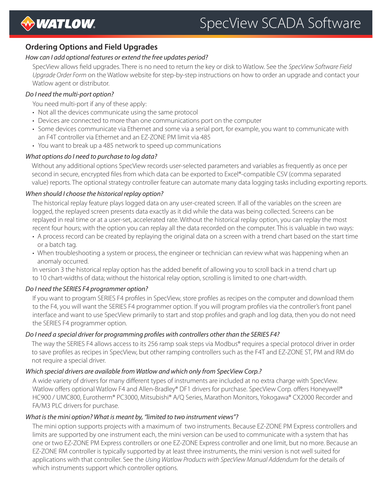

# SpecView SCADA Software

# **Ordering Options and Field Upgrades**

# *How can I add optional features or extend the free updates period?*

SpecView allows field upgrades. There is no need to return the key or disk to Watlow. See the *SpecView Software Field Upgrade Order Form* on the Watlow website for step-by-step instructions on how to order an upgrade and contact your Watlow agent or distributor.

### *Do I need the multi-port option?*

You need multi-port if any of these apply:

- Not all the devices communicate using the same protocol
- Devices are connected to more than one communications port on the computer
- Some devices communicate via Ethernet and some via a serial port, for example, you want to communicate with an F4T controller via Ethernet and an EZ-ZONE PM limit via 485
- You want to break up a 485 network to speed up communications

#### *What options do I need to purchase to log data?*

Without any additional options SpecView records user-selected parameters and variables as frequently as once per second in secure, encrypted files from which data can be exported to Excel®-compatible CSV (comma separated value) reports. The optional strategy controller feature can automate many data logging tasks including exporting reports.

#### *When should I choose the historical replay option?*

The historical replay feature plays logged data on any user-created screen. If all of the variables on the screen are logged, the replayed screen presents data exactly as it did while the data was being collected. Screens can be replayed in real time or at a user-set, accelerated rate. Without the historical replay option, you can replay the most recent four hours; with the option you can replay all the data recorded on the computer. This is valuable in two ways:

- A process record can be created by replaying the original data on a screen with a trend chart based on the start time or a batch tag.
- When troubleshooting a system or process, the engineer or technician can review what was happening when an anomaly occurred.

In version 3 the historical replay option has the added benefit of allowing you to scroll back in a trend chart up to 10 chart-widths of data; without the historical relay option, scrolling is limited to one chart-width.

#### *Do I need the SERIES F4 programmer option?*

If you want to program SERIES F4 profiles in SpecView, store profiles as recipes on the computer and download them to the F4, you will want the SERIES F4 programmer option. If you will program profiles via the controller's front panel interface and want to use SpecView primarily to start and stop profiles and graph and log data, then you do not need the SERIES F4 programmer option.

# *Do I need a special driver for programming profiles with controllers other than the SERIES F4?*

The way the SERIES F4 allows access to its 256 ramp soak steps via Modbus® requires a special protocol driver in order to save profiles as recipes in SpecView, but other ramping controllers such as the F4T and EZ-ZONE ST, PM and RM do not require a special driver.

#### *Which special drivers are available from Watlow and which only from SpecView Corp.?*

A wide variety of drivers for many different types of instruments are included at no extra charge with SpecView. Watlow offers optional Watlow F4 and Allen-Bradley® DF1 drivers for purchase. SpecView Corp. offers Honeywell® HC900 / UMC800, Eurotherm® PC3000, Mitsubishi® A/Q Series, Marathon Monitors, Yokogawa® CX2000 Recorder and FA/M3 PLC drivers for purchase.

#### *What is the mini option? What is meant by, "limited to two instrument views"?*

The mini option supports projects with a maximum of two instruments. Because EZ-ZONE PM Express controllers and limits are supported by one instrument each, the mini version can be used to communicate with a system that has one or two EZ-ZONE PM Express controllers or one EZ-ZONE Express controller and one limit, but no more. Because an EZ-ZONE RM controller is typically supported by at least three instruments, the mini version is not well suited for applications with that controller. See the *Using Watlow Products with SpecView Manual Addendum* for the details of which instruments support which controller options.